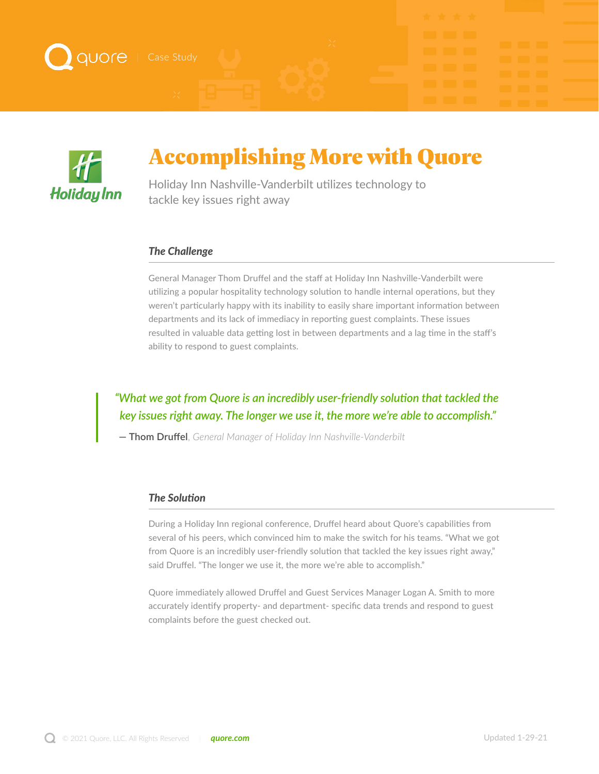



# Accomplishing More with Quore

Holiday Inn Nashville-Vanderbilt utilizes technology to tackle key issues right away

#### *The Challenge*

General Manager Thom Druffel and the staff at Holiday Inn Nashville-Vanderbilt were utilizing a popular hospitality technology solution to handle internal operations, but they weren't particularly happy with its inability to easily share important information between departments and its lack of immediacy in reporting guest complaints. These issues resulted in valuable data getting lost in between departments and a lag time in the staff's ability to respond to guest complaints.

## *"What we got from Quore is an incredibly user-friendly solution that tackled the key issues right away. The longer we use it, the more we're able to accomplish."*

**— Thom Druffel**, *General Manager of Holiday Inn Nashville-Vanderbilt*

### *The Solution*

During a Holiday Inn regional conference, Druffel heard about Quore's capabilities from several of his peers, which convinced him to make the switch for his teams. "What we got from Quore is an incredibly user-friendly solution that tackled the key issues right away," said Druffel. "The longer we use it, the more we're able to accomplish."

Quore immediately allowed Druffel and Guest Services Manager Logan A. Smith to more accurately identify property- and department- specific data trends and respond to guest complaints before the guest checked out.